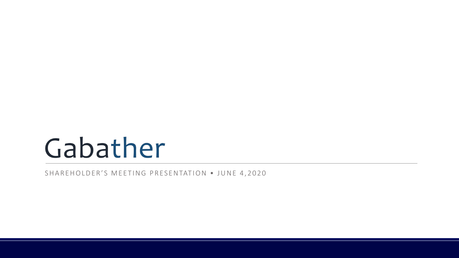# Gabather

SHAREHOLDER'S MEETING PRESENTATION • JUNE 4,2020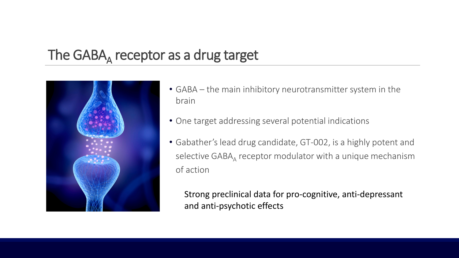## The GABA $_{\text{A}}$  receptor as a drug target



- GABA the main inhibitory neurotransmitter system in the brain
- One target addressing several potential indications
- Gabather's lead drug candidate, GT-002, is a highly potent and selective  $GABA_A$  receptor modulator with a unique mechanism of action

Strong preclinical data for pro-cognitive, anti-depressant and anti-psychotic effects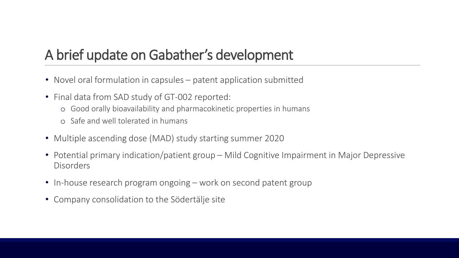## A brief update on Gabather's development

- Novel oral formulation in capsules patent application submitted
- Final data from SAD study of GT-002 reported:
	- o Good orally bioavailability and pharmacokinetic properties in humans
	- o Safe and well tolerated in humans
- Multiple ascending dose (MAD) study starting summer 2020
- Potential primary indication/patient group Mild Cognitive Impairment in Major Depressive Disorders
- In-house research program ongoing work on second patent group
- Company consolidation to the Södertälje site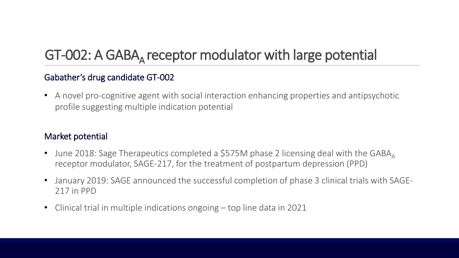# $GT-002$ : A GABA<sub> $\triangle$ </sub> receptor modulator with large potential

#### Gabather's drug candidate GT-002

• A novel pro-cognitive agent with social interaction enhancing properties and antipsychotic profile suggesting multiple indication potential

#### Market potential

- June 2018: Sage Therapeutics completed a \$575M phase 2 licensing deal with the GABA $_{\text{A}}$ receptor modulator, SAGE-217, for the treatment of postpartum depression (PPD)
- January 2019: SAGE announced the successful completion of phase 3 clinical trials with SAGE-217 in PPD
- Clinical trial in multiple indications ongoing top line data in 2021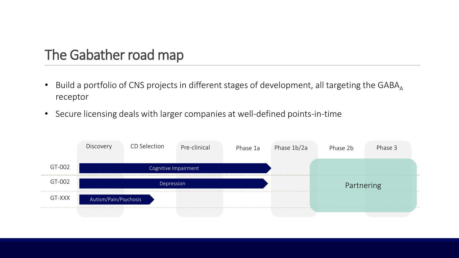## The Gabather road map

- Build a portfolio of CNS projects in different stages of development, all targeting the GABA $_A$ receptor
- Secure licensing deals with larger companies at well-defined points-in-time

|        | Discovery             | CD Selection | Pre-clinical | Phase 1a | Phase 1b/2a | Phase 2b   | Phase 3 |  |
|--------|-----------------------|--------------|--------------|----------|-------------|------------|---------|--|
| GT-002 | Cognitive Impairment  |              |              |          |             |            |         |  |
| GT-002 | Depression            |              |              |          |             | Partnering |         |  |
| GT-XXX | Autism/Pain/Psychosis |              |              |          |             |            |         |  |
|        |                       |              |              |          |             |            |         |  |